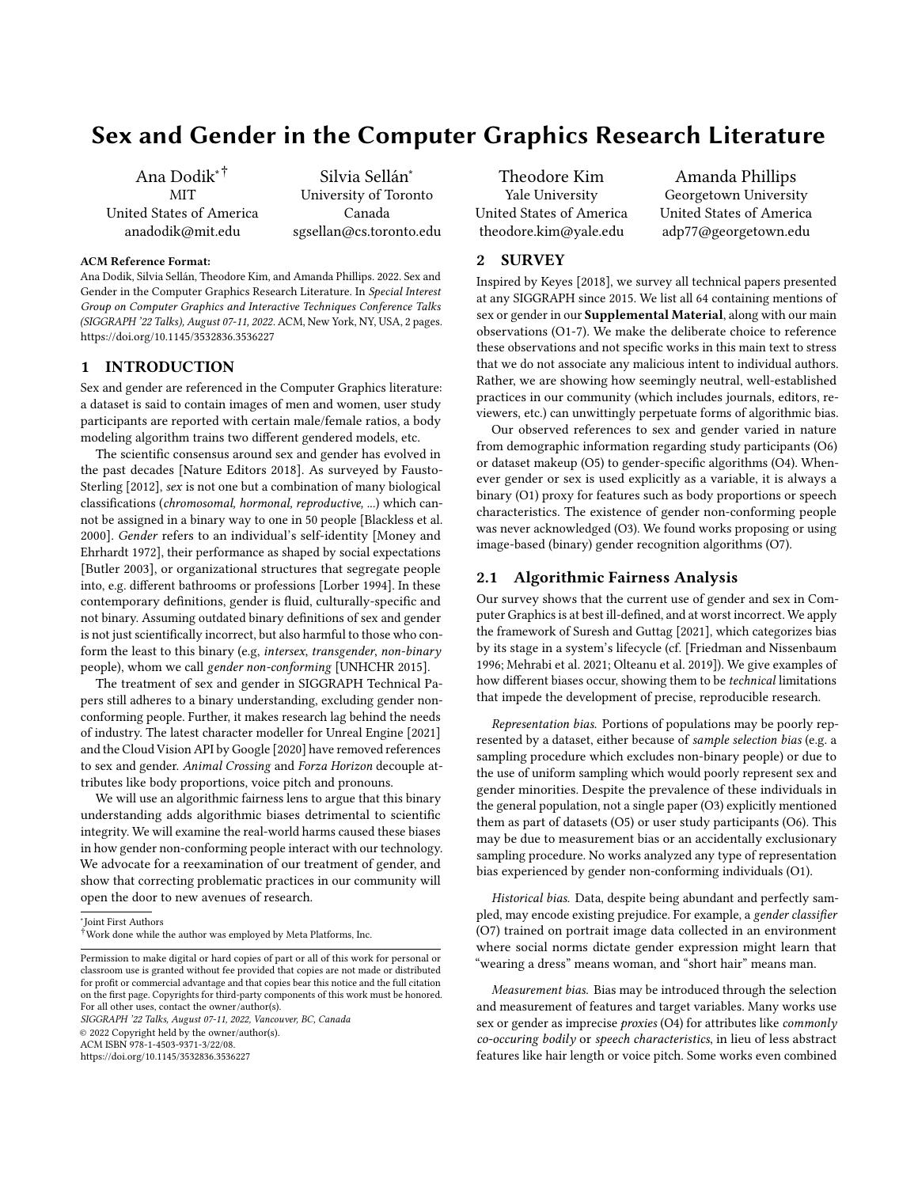# Sex and Gender in the Computer Graphics Research Literature

Ana Dodik∗† MIT United States of America anadodik@mit.edu

Silvia Sellán<sup>∗</sup> University of Toronto Canada sgsellan@cs.toronto.edu

#### ACM Reference Format:

Ana Dodik, Silvia Sellán, Theodore Kim, and Amanda Phillips. 2022. Sex and Gender in the Computer Graphics Research Literature. In Special Interest Group on Computer Graphics and Interactive Techniques Conference Talks (SIGGRAPH '22 Talks), August 07-11, 2022. ACM, New York, NY, USA, [2](#page-1-0) pages. <https://doi.org/10.1145/3532836.3536227>

# 1 INTRODUCTION

Sex and gender are referenced in the Computer Graphics literature: a dataset is said to contain images of men and women, user study participants are reported with certain male/female ratios, a body modeling algorithm trains two different gendered models, etc.

The scientific consensus around sex and gender has evolved in the past decades [\[Nature Editors 2018\]](#page-1-1). As surveyed by [Fausto-](#page-1-2)[Sterling](#page-1-2) [\[2012\]](#page-1-2), sex is not one but a combination of many biological classifications (chromosomal, hormonal, reproductive, ...) which cannot be assigned in a binary way to one in 50 people [\[Blackless et al.](#page-1-3) [2000\]](#page-1-3). Gender refers to an individual's self-identity [\[Money and](#page-1-4) [Ehrhardt 1972\]](#page-1-4), their performance as shaped by social expectations [\[Butler 2003\]](#page-1-5), or organizational structures that segregate people into, e.g. different bathrooms or professions [\[Lorber 1994\]](#page-1-6). In these contemporary definitions, gender is fluid, culturally-specific and not binary. Assuming outdated binary definitions of sex and gender is not just scientifically incorrect, but also harmful to those who conform the least to this binary (e.g, intersex, transgender, non-binary people), whom we call gender non-conforming [\[UNHCHR 2015\]](#page-1-7).

The treatment of sex and gender in SIGGRAPH Technical Papers still adheres to a binary understanding, excluding gender nonconforming people. Further, it makes research lag behind the needs of industry. The latest character modeller for [Unreal Engine](#page-1-8) [\[2021\]](#page-1-8) and the Cloud Vision API by [Google](#page-1-9) [\[2020\]](#page-1-9) have removed references to sex and gender. Animal Crossing and Forza Horizon decouple attributes like body proportions, voice pitch and pronouns.

We will use an algorithmic fairness lens to argue that this binary understanding adds algorithmic biases detrimental to scientific integrity. We will examine the real-world harms caused these biases in how gender non-conforming people interact with our technology. We advocate for a reexamination of our treatment of gender, and show that correcting problematic practices in our community will open the door to new avenues of research.

SIGGRAPH '22 Talks, August 07-11, 2022, Vancouver, BC, Canada

© 2022 Copyright held by the owner/author(s).

ACM ISBN 978-1-4503-9371-3/22/08.

<https://doi.org/10.1145/3532836.3536227>

Theodore Kim Yale University United States of America theodore.kim@yale.edu

Amanda Phillips Georgetown University United States of America adp77@georgetown.edu

## 2 SURVEY

Inspired by [Keyes](#page-1-10) [\[2018\]](#page-1-10), we survey all technical papers presented at any SIGGRAPH since 2015. We list all 64 containing mentions of sex or gender in our Supplemental Material, along with our main observations (O1-7). We make the deliberate choice to reference these observations and not specific works in this main text to stress that we do not associate any malicious intent to individual authors. Rather, we are showing how seemingly neutral, well-established practices in our community (which includes journals, editors, reviewers, etc.) can unwittingly perpetuate forms of algorithmic bias.

Our observed references to sex and gender varied in nature from demographic information regarding study participants (O6) or dataset makeup (O5) to gender-specific algorithms (O4). Whenever gender or sex is used explicitly as a variable, it is always a binary (O1) proxy for features such as body proportions or speech characteristics. The existence of gender non-conforming people was never acknowledged (O3). We found works proposing or using image-based (binary) gender recognition algorithms (O7).

# 2.1 Algorithmic Fairness Analysis

Our survey shows that the current use of gender and sex in Computer Graphics is at best ill-defined, and at worst incorrect. We apply the framework of [Suresh and Guttag](#page-1-11) [\[2021\]](#page-1-11), which categorizes bias by its stage in a system's lifecycle (cf. [\[Friedman and Nissenbaum](#page-1-12) [1996;](#page-1-12) [Mehrabi et al.](#page-1-13) [2021;](#page-1-13) [Olteanu et al.](#page-1-14) [2019\]](#page-1-14)). We give examples of how different biases occur, showing them to be technical limitations that impede the development of precise, reproducible research.

Representation bias. Portions of populations may be poorly represented by a dataset, either because of sample selection bias (e.g. a sampling procedure which excludes non-binary people) or due to the use of uniform sampling which would poorly represent sex and gender minorities. Despite the prevalence of these individuals in the general population, not a single paper (O3) explicitly mentioned them as part of datasets (O5) or user study participants (O6). This may be due to measurement bias or an accidentally exclusionary sampling procedure. No works analyzed any type of representation bias experienced by gender non-conforming individuals (O1).

Historical bias. Data, despite being abundant and perfectly sampled, may encode existing prejudice. For example, a gender classifier (O7) trained on portrait image data collected in an environment where social norms dictate gender expression might learn that "wearing a dress" means woman, and "short hair" means man.

Measurement bias. Bias may be introduced through the selection and measurement of features and target variables. Many works use sex or gender as imprecise proxies (O4) for attributes like commonly co-occuring bodily or speech characteristics, in lieu of less abstract features like hair length or voice pitch. Some works even combined

<sup>∗</sup> Joint First Authors

<sup>†</sup>Work done while the author was employed by Meta Platforms, Inc.

Permission to make digital or hard copies of part or all of this work for personal or classroom use is granted without fee provided that copies are not made or distributed for profit or commercial advantage and that copies bear this notice and the full citation on the first page. Copyrights for third-party components of this work must be honored. For all other uses, contact the owner/author(s).